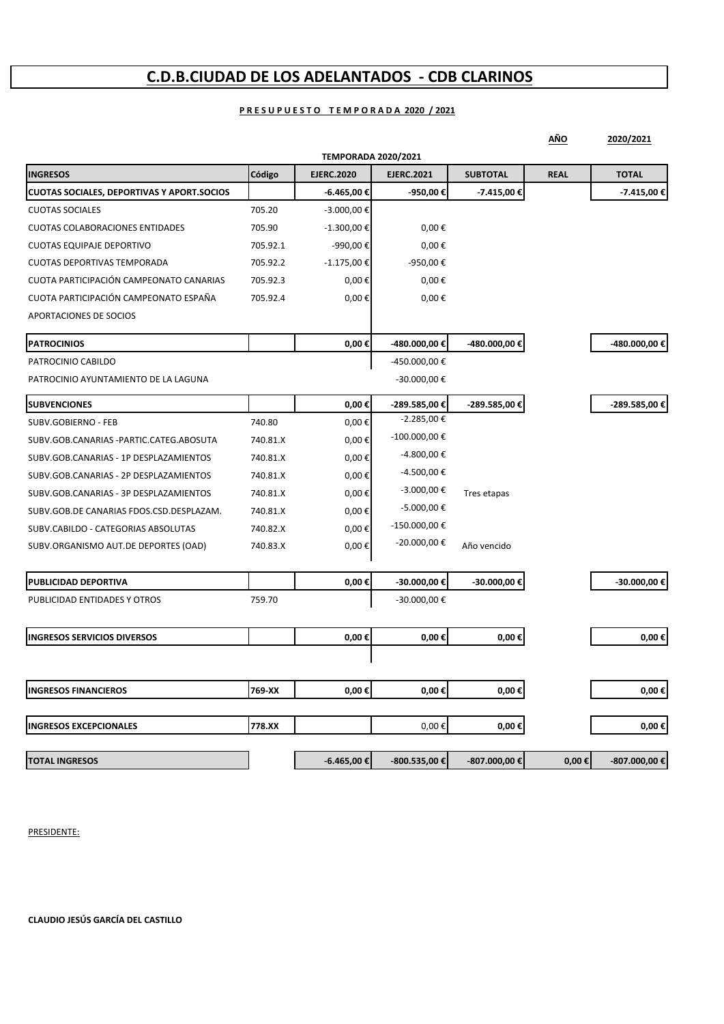### **C.D.B.CIUDAD DE LOS ADELANTADOS ‐ CDB CLARINOS**

#### **P R E S U P U E S T O T E M P O R A D A 2020 / 2021**

|                                                   |          |                            |                   |                   | AÑO         | 2020/2021     |
|---------------------------------------------------|----------|----------------------------|-------------------|-------------------|-------------|---------------|
|                                                   |          | <b>TEMPORADA 2020/2021</b> |                   |                   |             |               |
| <b>INGRESOS</b>                                   | Código   | <b>EJERC.2020</b>          | <b>EJERC.2021</b> | <b>SUBTOTAL</b>   | <b>REAL</b> | <b>TOTAL</b>  |
| <b>CUOTAS SOCIALES, DEPORTIVAS Y APORT.SOCIOS</b> |          | -6.465,00 €                | -950,00€          | $-7.415,00€$      |             | $-7.415,00€$  |
| <b>CUOTAS SOCIALES</b>                            | 705.20   | -3.000,00 €                |                   |                   |             |               |
| <b>CUOTAS COLABORACIONES ENTIDADES</b>            | 705.90   | $-1.300,00 \in$            | $0,00 \in$        |                   |             |               |
| <b>CUOTAS EQUIPAJE DEPORTIVO</b>                  | 705.92.1 | -990,00€                   | $0,00 \in$        |                   |             |               |
| <b>CUOTAS DEPORTIVAS TEMPORADA</b>                | 705.92.2 | $-1.175,00 \in$            | -950,00 €         |                   |             |               |
| CUOTA PARTICIPACIÓN CAMPEONATO CANARIAS           | 705.92.3 | $0,00 \in$                 | $0,00 \in$        |                   |             |               |
| CUOTA PARTICIPACIÓN CAMPEONATO ESPAÑA             | 705.92.4 | $0,00 \in$                 | $0,00 \in$        |                   |             |               |
| APORTACIONES DE SOCIOS                            |          |                            |                   |                   |             |               |
| <b>PATROCINIOS</b>                                |          | $0,00 \in$                 | -480.000,00 €     | -480.000,00 €     |             | -480.000,00 € |
| PATROCINIO CABILDO                                |          |                            | -450.000,00 €     |                   |             |               |
| PATROCINIO AYUNTAMIENTO DE LA LAGUNA              |          |                            | -30.000,00 €      |                   |             |               |
| <b>SUBVENCIONES</b>                               |          | $0,00 \in$                 | -289.585,00 €     | -289.585,00 €     |             | -289.585,00 € |
| SUBV.GOBIERNO - FEB                               | 740.80   | $0,00 \in$                 | $-2.285,00 \in$   |                   |             |               |
| SUBV.GOB.CANARIAS -PARTIC.CATEG.ABOSUTA           | 740.81.X | $0,00 \in$                 | -100.000,00€      |                   |             |               |
| SUBV.GOB.CANARIAS - 1P DESPLAZAMIENTOS            | 740.81.X | $0,00 \in$                 | -4.800,00 €       |                   |             |               |
| SUBV.GOB.CANARIAS - 2P DESPLAZAMIENTOS            | 740.81.X | $0,00 \in$                 | -4.500,00€        |                   |             |               |
| SUBV.GOB.CANARIAS - 3P DESPLAZAMIENTOS            | 740.81.X | $0,00 \in$                 | $-3.000,00 \in$   | Tres etapas       |             |               |
| SUBV.GOB.DE CANARIAS FDOS.CSD.DESPLAZAM.          | 740.81.X | $0,00 \in$                 | $-5.000,00 \in$   |                   |             |               |
| SUBV.CABILDO - CATEGORIAS ABSOLUTAS               | 740.82.X | $0,00 \in$                 | -150.000,00 €     |                   |             |               |
| SUBV.ORGANISMO AUT.DE DEPORTES (OAD)              | 740.83.X | $0,00 \in$                 | -20.000,00 €      | Año vencido       |             |               |
| PUBLICIDAD DEPORTIVA                              |          | $0,00 \in$                 | -30.000,00€       | -30.000,00€       |             | -30.000,00€   |
| PUBLICIDAD ENTIDADES Y OTROS                      | 759.70   |                            | -30.000,00 €      |                   |             |               |
|                                                   |          |                            |                   |                   |             |               |
| <b>INGRESOS SERVICIOS DIVERSOS</b>                |          | $0,00 \in$                 | $0,00 \in$        | 0,00€             |             | $0,00 \in$    |
|                                                   |          |                            |                   |                   |             |               |
| <b>INGRESOS FINANCIEROS</b>                       | 769-XX   | $0,00 \in$                 | $0,00 \in$        | 0,00€             |             | $0,00 \in$    |
| <b>INGRESOS EXCEPCIONALES</b>                     | 778.XX   |                            | $0,00 \in$        | 0,00€             |             | $0,00 \in$    |
|                                                   |          |                            |                   |                   |             |               |
| <b>TOTAL INGRESOS</b>                             |          | $-6.465,00 \in$            | $-800.535,00€$    | $-807.000,00 \in$ | $0,00 \in$  | -807.000,00 € |

PRESIDENTE:

**CLAUDIO JESÚS GARCÍA DEL CASTILLO**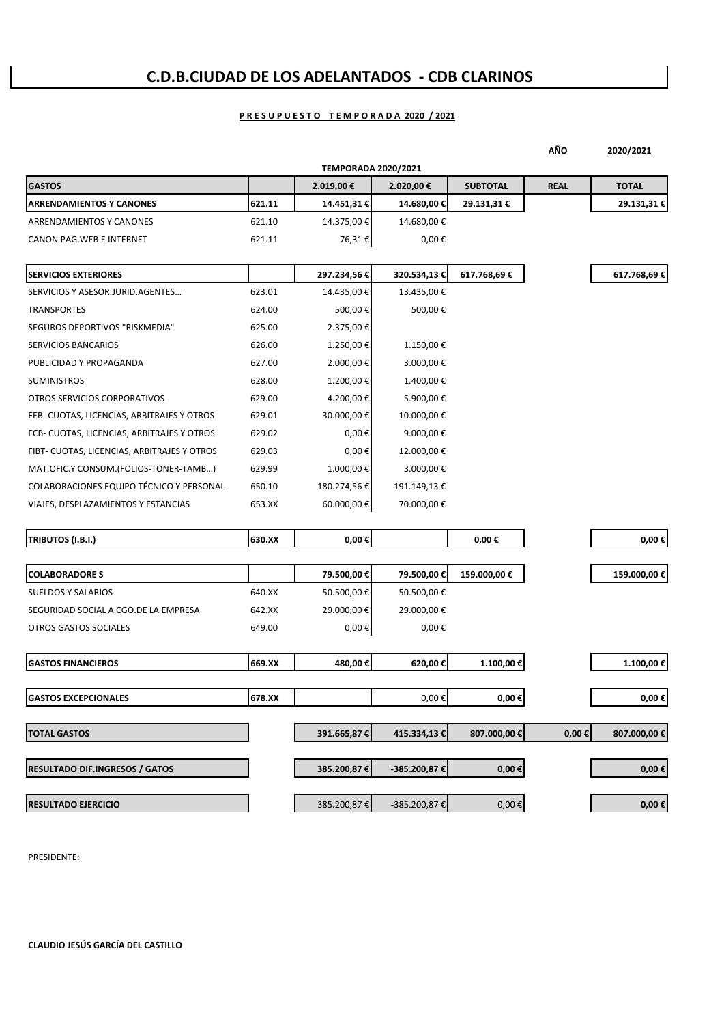### **C.D.B.CIUDAD DE LOS ADELANTADOS ‐ CDB CLARINOS**

### **P R E S U P U E S T O T E M P O R A D A 2020 / 2021**

|                                             |        |                            |              |                 | AÑO         | 2020/2021       |
|---------------------------------------------|--------|----------------------------|--------------|-----------------|-------------|-----------------|
|                                             |        | <b>TEMPORADA 2020/2021</b> |              |                 |             |                 |
| <b>GASTOS</b>                               |        | 2.019,00€                  | 2.020,00 €   | <b>SUBTOTAL</b> | <b>REAL</b> | <b>TOTAL</b>    |
| <b>ARRENDAMIENTOS Y CANONES</b>             | 621.11 | 14.451,31 €                | 14.680,00 €  | 29.131,31 €     |             | 29.131,31€      |
| ARRENDAMIENTOS Y CANONES                    | 621.10 | 14.375,00 €                | 14.680,00€   |                 |             |                 |
| CANON PAG.WEB E INTERNET                    | 621.11 | 76,31€                     | $0,00 \in$   |                 |             |                 |
| <b>SERVICIOS EXTERIORES</b>                 |        | 297.234,56€                | 320.534,13€  | 617.768,69€     |             | 617.768,69€     |
| SERVICIOS Y ASESOR.JURID.AGENTES            | 623.01 | 14.435,00 €                | 13.435,00€   |                 |             |                 |
| TRANSPORTES                                 | 624.00 | 500,00€                    | 500,00€      |                 |             |                 |
| SEGUROS DEPORTIVOS "RISKMEDIA"              | 625.00 | 2.375,00 €                 |              |                 |             |                 |
| SERVICIOS BANCARIOS                         | 626.00 | 1.250,00€                  | 1.150,00 €   |                 |             |                 |
| PUBLICIDAD Y PROPAGANDA                     | 627.00 | 2.000,00 €                 | 3.000,00 €   |                 |             |                 |
| <b>SUMINISTROS</b>                          | 628.00 | 1.200,00€                  | 1.400,00 €   |                 |             |                 |
| OTROS SERVICIOS CORPORATIVOS                | 629.00 | 4.200,00 €                 | 5.900,00 €   |                 |             |                 |
| FEB- CUOTAS, LICENCIAS, ARBITRAJES Y OTROS  | 629.01 | 30.000,00€                 | 10.000,00 €  |                 |             |                 |
| FCB- CUOTAS, LICENCIAS, ARBITRAJES Y OTROS  | 629.02 | $0,00 \in$                 | 9.000,00€    |                 |             |                 |
| FIBT- CUOTAS, LICENCIAS, ARBITRAJES Y OTROS | 629.03 | $0,00 \in$                 | 12.000,00 €  |                 |             |                 |
| MAT.OFIC.Y CONSUM.(FOLIOS-TONER-TAMB)       | 629.99 | 1.000,00€                  | 3.000,00 €   |                 |             |                 |
| COLABORACIONES EQUIPO TÉCNICO Y PERSONAL    | 650.10 | 180.274,56€                | 191.149,13 € |                 |             |                 |
| VIAJES, DESPLAZAMIENTOS Y ESTANCIAS         | 653.XX | 60.000,00 €                | 70.000,00 €  |                 |             |                 |
| TRIBUTOS (I.B.I.)                           | 630.XX | 0,00€                      |              | $0,00 \in$      |             | 0,00€           |
|                                             |        |                            |              |                 |             |                 |
| <b>COLABORADORE S</b>                       |        | 79.500,00€                 | 79.500,00€   | 159.000,00€     |             | 159.000,00€     |
| <b>SUELDOS Y SALARIOS</b>                   | 640.XX | 50.500,00€                 | 50.500,00€   |                 |             |                 |
| SEGURIDAD SOCIAL A CGO.DE LA EMPRESA        | 642.XX | 29.000,00 €                | 29.000,00 €  |                 |             |                 |
| OTROS GASTOS SOCIALES                       | 649.00 | 0,00€                      | 0,00€        |                 |             |                 |
| <b>GASTOS FINANCIEROS</b>                   | 669.XX | 480,00€                    | 620,00€      | 1.100,00€       |             | 1.100,00€       |
|                                             |        |                            |              |                 |             |                 |
| <b>GASTOS EXCEPCIONALES</b>                 | 678.XX |                            | $0,00 \in$   | $0,00\in$       |             | 0,00 $\epsilon$ |
| <b>TOTAL GASTOS</b>                         |        | 391.665,87€                | 415.334,13€  | 807.000,00€     | $0,00 \in$  | 807.000,00 €    |
| <b>RESULTADO DIF.INGRESOS / GATOS</b>       |        | 385.200,87€                | -385.200,87€ | $0,00 \in$      |             | 0,00 €          |
| <b>RESULTADO EJERCICIO</b>                  |        | 385.200,87€                | -385.200,87€ | $0,00 \in$      |             | $0,00 \in$      |
|                                             |        |                            |              |                 |             |                 |

PRESIDENTE: